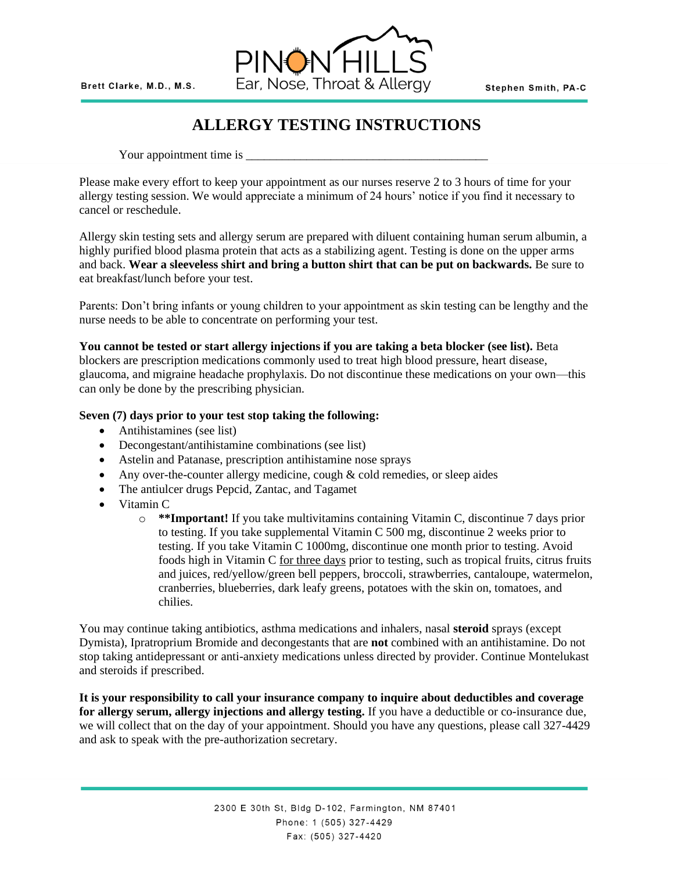

# **ALLERGY TESTING INSTRUCTIONS**

Your appointment time is \_\_\_\_\_\_\_\_\_\_\_\_\_\_\_\_\_\_\_\_\_\_\_\_\_\_\_\_\_\_\_\_\_\_\_\_\_\_\_\_

Please make every effort to keep your appointment as our nurses reserve 2 to 3 hours of time for your allergy testing session. We would appreciate a minimum of 24 hours' notice if you find it necessary to cancel or reschedule.

Allergy skin testing sets and allergy serum are prepared with diluent containing human serum albumin, a highly purified blood plasma protein that acts as a stabilizing agent. Testing is done on the upper arms and back. **Wear a sleeveless shirt and bring a button shirt that can be put on backwards.** Be sure to eat breakfast/lunch before your test.

Parents: Don't bring infants or young children to your appointment as skin testing can be lengthy and the nurse needs to be able to concentrate on performing your test.

### **You cannot be tested or start allergy injections if you are taking a beta blocker (see list).** Beta

blockers are prescription medications commonly used to treat high blood pressure, heart disease, glaucoma, and migraine headache prophylaxis. Do not discontinue these medications on your own—this can only be done by the prescribing physician.

### **Seven (7) days prior to your test stop taking the following:**

- Antihistamines (see list)
- Decongestant/antihistamine combinations (see list)
- Astelin and Patanase, prescription antihistamine nose sprays
- Any over-the-counter allergy medicine, cough & cold remedies, or sleep aides
- The antiulcer drugs Pepcid, Zantac, and Tagamet
- Vitamin C
	- o **\*\*Important!** If you take multivitamins containing Vitamin C, discontinue 7 days prior to testing. If you take supplemental Vitamin C 500 mg, discontinue 2 weeks prior to testing. If you take Vitamin C 1000mg, discontinue one month prior to testing. Avoid foods high in Vitamin C for three days prior to testing, such as tropical fruits, citrus fruits and juices, red/yellow/green bell peppers, broccoli, strawberries, cantaloupe, watermelon, cranberries, blueberries, dark leafy greens, potatoes with the skin on, tomatoes, and chilies.

You may continue taking antibiotics, asthma medications and inhalers, nasal **steroid** sprays (except Dymista), Ipratroprium Bromide and decongestants that are **not** combined with an antihistamine. Do not stop taking antidepressant or anti-anxiety medications unless directed by provider. Continue Montelukast and steroids if prescribed.

**It is your responsibility to call your insurance company to inquire about deductibles and coverage for allergy serum, allergy injections and allergy testing.** If you have a deductible or co-insurance due, we will collect that on the day of your appointment. Should you have any questions, please call 327-4429 and ask to speak with the pre-authorization secretary.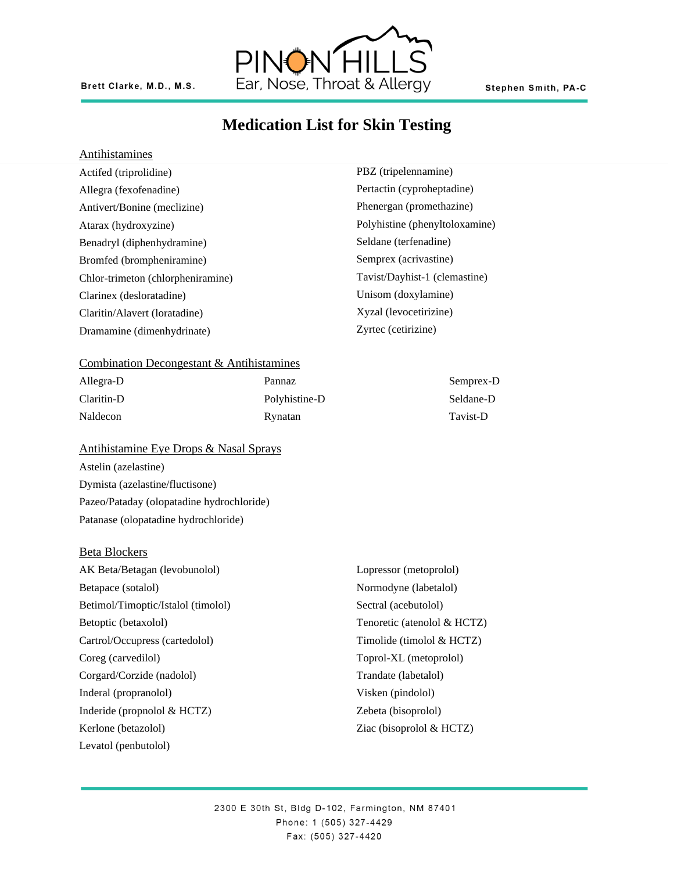

## **Medication List for Skin Testing**

PBZ (tripelennamine) Pertactin (cyproheptadine) Phenergan (promethazine) Polyhistine (phenyltoloxamine)

Seldane (terfenadine) Semprex (acrivastine)

Unisom (doxylamine) Xyzal (levocetirizine) Zyrtec (cetirizine)

Tavist/Dayhist-1 (clemastine)

#### **Antihistamines**

Actifed (triprolidine) Allegra (fexofenadine) Antivert/Bonine (meclizine) Atarax (hydroxyzine) Benadryl (diphenhydramine) Bromfed (brompheniramine) Chlor-trimeton (chlorpheniramine) Clarinex (desloratadine) Claritin/Alavert (loratadine) Dramamine (dimenhydrinate)

#### Combination Decongestant & Antihistamines

| Allegra-D  | Pannaz        | Semprex-D |
|------------|---------------|-----------|
| Claritin-D | Polyhistine-D | Seldane-D |
| Naldecon   | Rynatan       | Tavist-D  |

#### Antihistamine Eye Drops & Nasal Sprays

Astelin (azelastine) Dymista (azelastine/fluctisone) Pazeo/Pataday (olopatadine hydrochloride) Patanase (olopatadine hydrochloride)

#### Beta Blockers

AK Beta/Betagan (levobunolol) Betapace (sotalol) Betimol/Timoptic/Istalol (timolol) Betoptic (betaxolol) Cartrol/Occupress (cartedolol) Coreg (carvedilol) Corgard/Corzide (nadolol) Inderal (propranolol) Inderide (propnolol & HCTZ) Kerlone (betazolol) Levatol (penbutolol)

## Lopressor (metoprolol) Normodyne (labetalol) Sectral (acebutolol) Tenoretic (atenolol & HCTZ) Timolide (timolol & HCTZ) Toprol-XL (metoprolol) Trandate (labetalol) Visken (pindolol) Zebeta (bisoprolol) Ziac (bisoprolol & HCTZ)

2300 E 30th St, Bldg D-102, Farmington, NM 87401 Phone: 1 (505) 327-4429 Fax: (505) 327-4420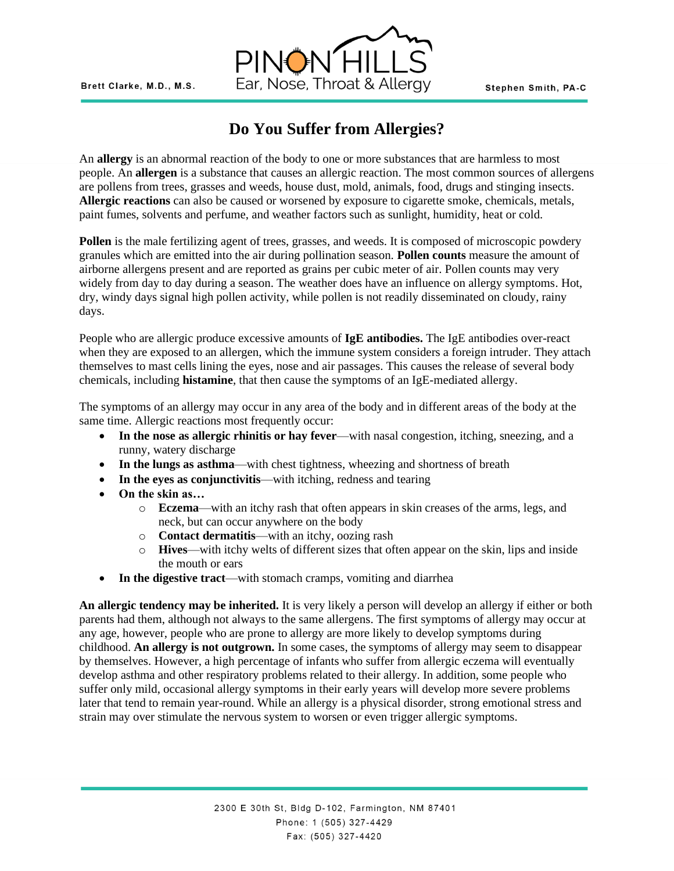

# **Do You Suffer from Allergies?**

An **allergy** is an abnormal reaction of the body to one or more substances that are harmless to most people. An **allergen** is a substance that causes an allergic reaction. The most common sources of allergens are pollens from trees, grasses and weeds, house dust, mold, animals, food, drugs and stinging insects. **Allergic reactions** can also be caused or worsened by exposure to cigarette smoke, chemicals, metals, paint fumes, solvents and perfume, and weather factors such as sunlight, humidity, heat or cold.

Pollen is the male fertilizing agent of trees, grasses, and weeds. It is composed of microscopic powdery granules which are emitted into the air during pollination season. **Pollen counts** measure the amount of airborne allergens present and are reported as grains per cubic meter of air. Pollen counts may very widely from day to day during a season. The weather does have an influence on allergy symptoms. Hot, dry, windy days signal high pollen activity, while pollen is not readily disseminated on cloudy, rainy days.

People who are allergic produce excessive amounts of **IgE antibodies.** The IgE antibodies over-react when they are exposed to an allergen, which the immune system considers a foreign intruder. They attach themselves to mast cells lining the eyes, nose and air passages. This causes the release of several body chemicals, including **histamine**, that then cause the symptoms of an IgE-mediated allergy.

The symptoms of an allergy may occur in any area of the body and in different areas of the body at the same time. Allergic reactions most frequently occur:

- **In the nose as allergic rhinitis or hay fever**—with nasal congestion, itching, sneezing, and a runny, watery discharge
- **In the lungs as asthma**—with chest tightness, wheezing and shortness of breath
- **In the eyes as conjunctivitis**—with itching, redness and tearing
- **On the skin as…**
	- o **Eczema**—with an itchy rash that often appears in skin creases of the arms, legs, and neck, but can occur anywhere on the body
	- o **Contact dermatitis**—with an itchy, oozing rash
	- o **Hives**—with itchy welts of different sizes that often appear on the skin, lips and inside the mouth or ears
- In the digestive tract—with stomach cramps, vomiting and diarrhea

**An allergic tendency may be inherited.** It is very likely a person will develop an allergy if either or both parents had them, although not always to the same allergens. The first symptoms of allergy may occur at any age, however, people who are prone to allergy are more likely to develop symptoms during childhood. **An allergy is not outgrown.** In some cases, the symptoms of allergy may seem to disappear by themselves. However, a high percentage of infants who suffer from allergic eczema will eventually develop asthma and other respiratory problems related to their allergy. In addition, some people who suffer only mild, occasional allergy symptoms in their early years will develop more severe problems later that tend to remain year-round. While an allergy is a physical disorder, strong emotional stress and strain may over stimulate the nervous system to worsen or even trigger allergic symptoms.